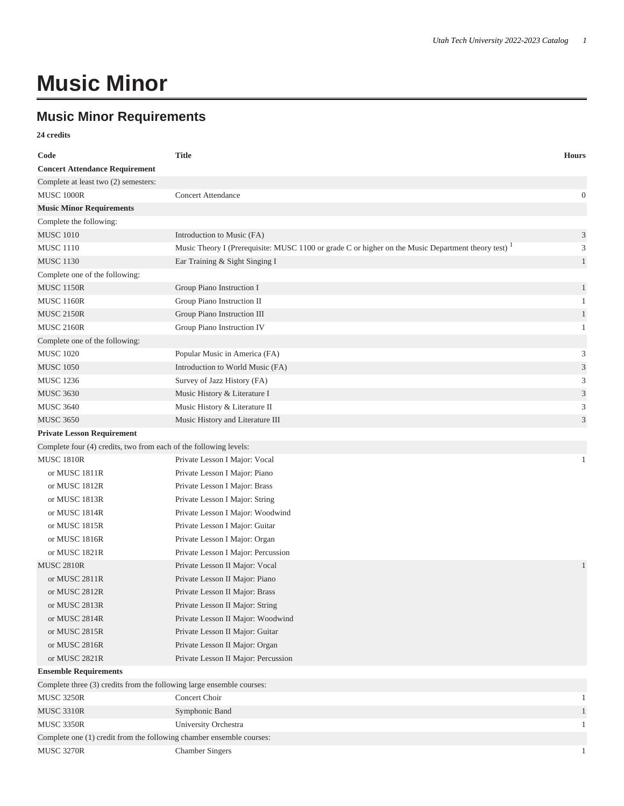## **Music Minor**

## **Music Minor Requirements**

**24 credits**

| Code                                                                  | <b>Title</b>                                                                                                   | <b>Hours</b>                |
|-----------------------------------------------------------------------|----------------------------------------------------------------------------------------------------------------|-----------------------------|
| <b>Concert Attendance Requirement</b>                                 |                                                                                                                |                             |
| Complete at least two (2) semesters:                                  |                                                                                                                |                             |
| <b>MUSC 1000R</b>                                                     | <b>Concert Attendance</b>                                                                                      | $\mathbf{0}$                |
| <b>Music Minor Requirements</b>                                       |                                                                                                                |                             |
| Complete the following:                                               |                                                                                                                |                             |
| <b>MUSC 1010</b>                                                      | Introduction to Music (FA)                                                                                     | $\mathfrak{Z}$              |
| <b>MUSC 1110</b>                                                      | Music Theory I (Prerequisite: MUSC 1100 or grade C or higher on the Music Department theory test) <sup>1</sup> | 3                           |
| <b>MUSC 1130</b>                                                      | Ear Training & Sight Singing I                                                                                 | $\mathbf{1}$                |
| Complete one of the following:                                        |                                                                                                                |                             |
| <b>MUSC 1150R</b>                                                     | Group Piano Instruction I                                                                                      | $\mathbf{1}$                |
| <b>MUSC 1160R</b>                                                     | Group Piano Instruction II                                                                                     | 1                           |
| <b>MUSC 2150R</b>                                                     | Group Piano Instruction III                                                                                    | $\mathbf{1}$                |
| <b>MUSC 2160R</b>                                                     | Group Piano Instruction IV                                                                                     | 1                           |
| Complete one of the following:                                        |                                                                                                                |                             |
| <b>MUSC 1020</b>                                                      | Popular Music in America (FA)                                                                                  | 3                           |
| <b>MUSC 1050</b>                                                      | Introduction to World Music (FA)                                                                               | $\ensuremath{\mathfrak{Z}}$ |
| <b>MUSC 1236</b>                                                      | Survey of Jazz History (FA)                                                                                    | 3                           |
| <b>MUSC 3630</b>                                                      | Music History & Literature I                                                                                   | $\sqrt{3}$                  |
| <b>MUSC 3640</b>                                                      | Music History & Literature II                                                                                  | 3                           |
| <b>MUSC 3650</b>                                                      | Music History and Literature III                                                                               | 3                           |
| <b>Private Lesson Requirement</b>                                     |                                                                                                                |                             |
| Complete four (4) credits, two from each of the following levels:     |                                                                                                                |                             |
| <b>MUSC 1810R</b>                                                     | Private Lesson I Major: Vocal                                                                                  | $\mathbf{1}$                |
| or MUSC 1811R                                                         | Private Lesson I Major: Piano                                                                                  |                             |
| or MUSC 1812R                                                         | Private Lesson I Major: Brass                                                                                  |                             |
| or MUSC 1813R                                                         | Private Lesson I Major: String                                                                                 |                             |
| or MUSC 1814R                                                         | Private Lesson I Major: Woodwind                                                                               |                             |
| or MUSC 1815R                                                         | Private Lesson I Major: Guitar                                                                                 |                             |
| or MUSC 1816R                                                         | Private Lesson I Major: Organ                                                                                  |                             |
| or MUSC 1821R                                                         | Private Lesson I Major: Percussion                                                                             |                             |
| <b>MUSC 2810R</b>                                                     | Private Lesson II Major: Vocal                                                                                 | $\mathbf{1}$                |
| or MUSC 2811R                                                         | Private Lesson II Major: Piano                                                                                 |                             |
| or MUSC 2812R                                                         | Private Lesson II Major: Brass                                                                                 |                             |
| or MUSC 2813R                                                         | Private Lesson II Major: String                                                                                |                             |
| or MUSC 2814R                                                         | Private Lesson II Major: Woodwind                                                                              |                             |
| or MUSC 2815R                                                         | Private Lesson II Major: Guitar                                                                                |                             |
| or MUSC 2816R                                                         | Private Lesson II Major: Organ                                                                                 |                             |
| or MUSC 2821R                                                         | Private Lesson II Major: Percussion                                                                            |                             |
| <b>Ensemble Requirements</b>                                          |                                                                                                                |                             |
| Complete three (3) credits from the following large ensemble courses: |                                                                                                                |                             |
| <b>MUSC 3250R</b>                                                     | Concert Choir                                                                                                  | 1                           |
| <b>MUSC 3310R</b>                                                     | Symphonic Band                                                                                                 | $\mathbf{1}$                |
| <b>MUSC 3350R</b>                                                     | University Orchestra                                                                                           | 1                           |
| Complete one (1) credit from the following chamber ensemble courses:  |                                                                                                                |                             |
| <b>MUSC 3270R</b>                                                     | <b>Chamber Singers</b>                                                                                         |                             |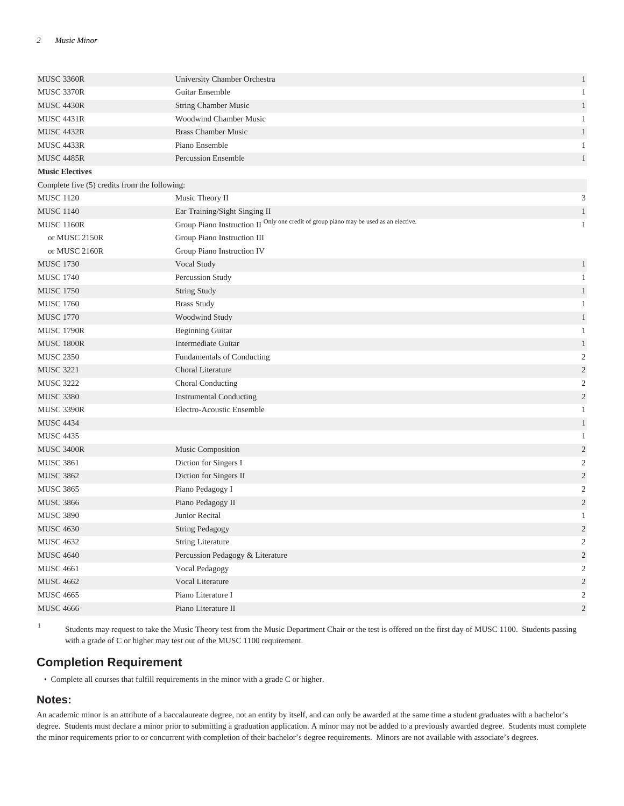| MUSC 3360R                                    | University Chamber Orchestra                                                          | $\mathbf{1}$            |
|-----------------------------------------------|---------------------------------------------------------------------------------------|-------------------------|
| <b>MUSC 3370R</b>                             | Guitar Ensemble                                                                       | $\mathbf{1}$            |
| <b>MUSC 4430R</b>                             | <b>String Chamber Music</b>                                                           | $\mathbf{1}$            |
| <b>MUSC 4431R</b>                             | <b>Woodwind Chamber Music</b>                                                         | 1                       |
| <b>MUSC 4432R</b>                             | <b>Brass Chamber Music</b>                                                            | $\mathbf{1}$            |
| <b>MUSC 4433R</b>                             | Piano Ensemble                                                                        | $\mathbf{1}$            |
| <b>MUSC 4485R</b>                             | <b>Percussion Ensemble</b>                                                            | $\mathbf{1}$            |
| <b>Music Electives</b>                        |                                                                                       |                         |
| Complete five (5) credits from the following: |                                                                                       |                         |
| <b>MUSC 1120</b>                              | Music Theory II                                                                       | 3                       |
| <b>MUSC 1140</b>                              | Ear Training/Sight Singing II                                                         | $\mathbf{1}$            |
| <b>MUSC 1160R</b>                             | Group Piano Instruction II Only one credit of group piano may be used as an elective. | $\mathbf{1}$            |
| or MUSC 2150R                                 | Group Piano Instruction III                                                           |                         |
| or MUSC 2160R                                 | Group Piano Instruction IV                                                            |                         |
| <b>MUSC 1730</b>                              | Vocal Study                                                                           | $\mathbf{1}$            |
| <b>MUSC 1740</b>                              | Percussion Study                                                                      | $\mathbf{1}$            |
| <b>MUSC 1750</b>                              | <b>String Study</b>                                                                   | $\mathbf{1}$            |
| <b>MUSC 1760</b>                              | <b>Brass Study</b>                                                                    | $\mathbf{1}$            |
| <b>MUSC 1770</b>                              | Woodwind Study                                                                        | $\mathbf{1}$            |
| <b>MUSC 1790R</b>                             | <b>Beginning Guitar</b>                                                               | $\mathbf{1}$            |
| <b>MUSC 1800R</b>                             | Intermediate Guitar                                                                   | $\mathbf{1}$            |
| <b>MUSC 2350</b>                              | Fundamentals of Conducting                                                            | $\overline{c}$          |
| <b>MUSC 3221</b>                              | Choral Literature                                                                     | $\sqrt{2}$              |
| <b>MUSC 3222</b>                              | Choral Conducting                                                                     | $\boldsymbol{2}$        |
| <b>MUSC 3380</b>                              | <b>Instrumental Conducting</b>                                                        | $\sqrt{2}$              |
| <b>MUSC 3390R</b>                             | Electro-Acoustic Ensemble                                                             | $\mathbf{1}$            |
| <b>MUSC 4434</b>                              |                                                                                       | $\mathbf{1}$            |
| <b>MUSC 4435</b>                              |                                                                                       | $\mathbf{1}$            |
| <b>MUSC 3400R</b>                             | Music Composition                                                                     | $\mathbf{2}$            |
| <b>MUSC 3861</b>                              | Diction for Singers I                                                                 | $\boldsymbol{2}$        |
| <b>MUSC 3862</b>                              | Diction for Singers II                                                                | $\sqrt{2}$              |
| <b>MUSC 3865</b>                              | Piano Pedagogy I                                                                      | $\sqrt{2}$              |
| <b>MUSC 3866</b>                              | Piano Pedagogy II                                                                     | $\overline{\mathbf{c}}$ |
| <b>MUSC 3890</b>                              | Junior Recital                                                                        | $\mathbf{1}$            |
| <b>MUSC 4630</b>                              | <b>String Pedagogy</b>                                                                | $\overline{c}$          |
| <b>MUSC 4632</b>                              | <b>String Literature</b>                                                              | $\overline{c}$          |
| <b>MUSC 4640</b>                              | Percussion Pedagogy & Literature                                                      | $\sqrt{2}$              |
| <b>MUSC 4661</b>                              | Vocal Pedagogy                                                                        | $\overline{2}$          |
| <b>MUSC 4662</b>                              | Vocal Literature                                                                      | $\sqrt{2}$              |
| <b>MUSC 4665</b>                              | Piano Literature I                                                                    | $\overline{2}$          |
| <b>MUSC 4666</b>                              | Piano Literature II                                                                   | $\sqrt{2}$              |

1 Students may request to take the Music Theory test from the Music Department Chair or the test is offered on the first day of MUSC 1100. Students passing with a grade of C or higher may test out of the MUSC 1100 requirement.

## **Completion Requirement**

• Complete all courses that fulfill requirements in the minor with a grade C or higher.

## **Notes:**

An academic minor is an attribute of a baccalaureate degree, not an entity by itself, and can only be awarded at the same time a student graduates with a bachelor's degree. Students must declare a minor prior to submitting a graduation application. A minor may not be added to a previously awarded degree. Students must complete the minor requirements prior to or concurrent with completion of their bachelor's degree requirements. Minors are not available with associate's degrees.